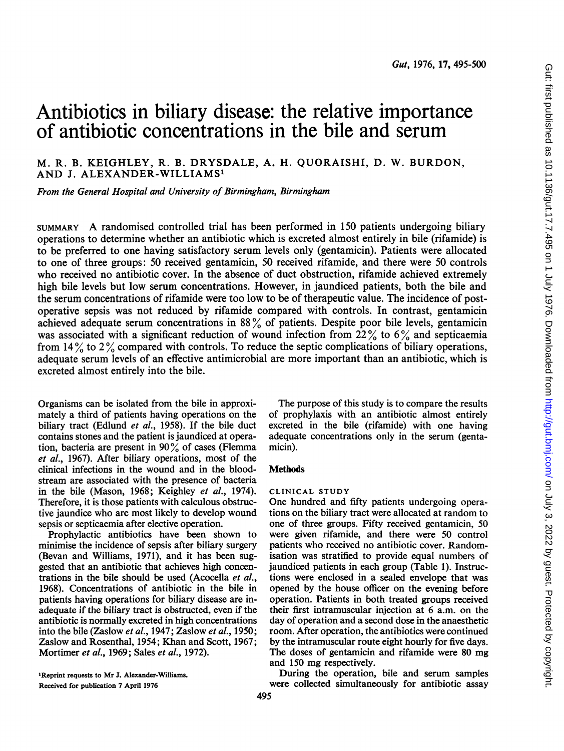# Antibiotics in biliary disease: the relative importance of antibiotic concentrations in the bile and serum

M. R. B. KEIGHLEY, R. B. DRYSDALE, A. H. QUORAISHI, D. W. BURDON, AND J. ALEXANDER-WILLIAMS'

From the General Hospital and University of Birmingham, Birmingham

SUMMARY A randomised controlled trial has been performed in <sup>150</sup> patients undergoing biliary operations to determine whether an antibiotic which is excreted almost entirely in bile (rifamide) is to be preferred to one having satisfactory serum levels only (gentamicin). Patients were allocated to one of three groups: 50 received gentamicin, 50 received rifamide, and there were 50 controls who received no antibiotic cover. In the absence of duct obstruction, rifamide achieved extremely high bile levels but low serum concentrations. However, in jaundiced patients, both the bile and the serum concentrations of rifamide were too low to be of therapeutic value. The incidence of postoperative sepsis was not reduced by rifamide compared with controls. In contrast, gentamicin achieved adequate serum concentrations in  $8\%$  of patients. Despite poor bile levels, gentamicin was associated with a significant reduction of wound infection from  $22\%$  to 6% and septicaemia from  $14\%$  to  $2\%$  compared with controls. To reduce the septic complications of biliary operations, adequate serum levels of an effective antimicrobial are more important than an antibiotic, which is excreted almost entirely into the bile.

Organisms can be isolated from the bile in approximately a third of patients having operations on the biliary tract (Edlund et al., 1958). If the bile duct contains stones and the patient is jaundiced at operation, bacteria are present in  $90\%$  of cases (Flemma et al., 1967). After biliary operations, most of the clinical infections in the wound and in the bloodstream are associated with the presence of bacteria in the bile (Mason, 1968; Keighley et al., 1974). Therefore, it is those patients with calculous obstructive jaundice who are most likely to develop wound sepsis or septicaemia after elective operation.

Prophylactic antibiotics have been shown to minimise the incidence of sepsis after biliary surgery (Bevan and Williams, 1971), and it has been suggested that an antibiotic that achieves high concentrations in the bile should be used (Acocella et al., 1968). Concentrations of antibiotic in the bile in patients having operations for biliary disease are inadequate if the biliary tract is obstructed, even if the antibiotic is normally excreted in high concentrations into the bile (Zaslow et al., 1947; Zaslow et al., 1950; Zaslow and Rosenthal, 1954; Khan and Scott, 1967; Mortimer et al., 1969; Sales et al., 1972).

The purpose of this study is to compare the results of prophylaxis with an antibiotic almost entirely excreted in the bile (rifamide) with one having adequate concentrations only in the serum (gentamicin).

## **Methods**

### CLINICAL STUDY

One hundred and fifty patients undergoing operations on the biliary tract were allocated at random to one of three groups. Fifty received gentamicin, 50 were given rifamide, and there were 50 control patients who received no antibiotic cover. Randomisation was stratified to provide equal numbers of jaundiced patients in each group (Table 1). Instructions were enclosed in a sealed envelope that was opened by the house officer on the evening before operation. Patients in both treated groups received their first intramuscular injection at 6 a.m. on the day of operation and a second dose in the anaesthetic room. After operation, the antibiotics were continued by the intramuscular route eight hourly for five days. The doses of gentamicin and rifamide were 80 mg and <sup>150</sup> mg respectively.

During the operation, bile and serum samples were collected simultaneously for antibiotic assay

<sup>&</sup>quot;Reprint requests to Mr J. Alexander-Williams. Received for publication 7 April 1976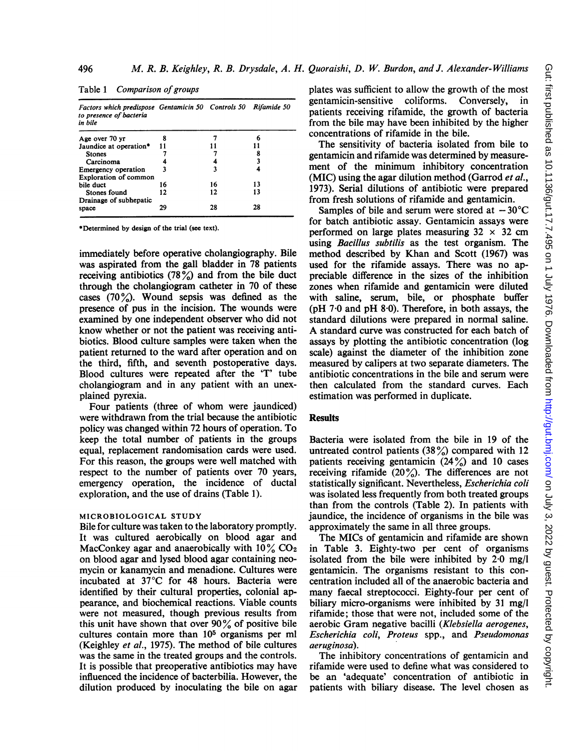|  | Table 1 Comparison of groups                                   |  |
|--|----------------------------------------------------------------|--|
|  | Factors which predispose Gentamicin 50 Controls 50 Rifamide 50 |  |

496

| to presence of bacteria<br>in bile                  |    |    |    |  |
|-----------------------------------------------------|----|----|----|--|
| Age over 70 yr                                      |    |    |    |  |
| Jaundice at operation*                              | 11 |    |    |  |
| <b>Stones</b>                                       |    |    |    |  |
| Carcinoma                                           |    |    |    |  |
| Emergency operation<br><b>Exploration of common</b> | ٦  |    |    |  |
| bile duct                                           | 16 | 16 | 13 |  |
| Stones found                                        | 12 | 12 | 13 |  |
| Drainage of subhepatic<br>space                     | 29 | 28 | 28 |  |

\*Determined by design of the trial (see text).

immediately before operative cholangiography. Bile was aspirated from the gall bladder in 78 patients receiving antibiotics  $(78\%)$  and from the bile duct through the cholangiogram catheter in 70 of these cases (70%). Wound sepsis was defined as the presence of pus in the incision. The wounds were examined by one independent observer who did not know whether or not the patient was receiving antibiotics. Blood culture samples were taken when the patient returned to the ward after operation and on the third, fifth, and seventh postoperative days. Blood cultures were repeated after the 'T' tube cholangiogram and in any patient with an unexplained pyrexia.

Four patients (three of whom were jaundiced) were withdrawn from the trial because the antibiotic policy was changed within 72 hours of operation. To keep the total number of patients in the groups equal, replacement randomisation cards were used. For this reason, the groups were well matched with respect to the number of patients over 70 years, emergency operation, the incidence of ductal exploration, and the use of drains (Table 1).

### MICROBIOLOGICAL STUDY

Bile for culture was taken to the laboratory promptly. It was cultured aerobically on blood agar and MacConkey agar and anaerobically with  $10\%$  CO<sub>2</sub> on blood agar and lysed blood agar containing neomycin or kanamycin and menadione. Cultures were incubated at 37°C for 48 hours. Bacteria were identified by their cultural properties, colonial appearance, and biochemical reactions. Viable counts were not measured, though previous results from this unit have shown that over  $90\%$  of positive bile cultures contain more than 105 organisms per ml (Keighley et al., 1975). The method of bile cultures was the same in the treated groups and the controls. It is possible that preoperative antibiotics may have influenced the incidence of bacterbilia. However, the dilution produced by inoculating the bile on agar plates was sufficient to allow the growth of the most gentamicin-sensitive coliforms. Conversely, in patients receiving rifamide, the growth of bacteria from the bile may have been inhibited by the higher concentrations of rifamide in the bile.

The sensitivity of bacteria isolated from bile to gentamicin and rifamide was determined by measurement of the minimum inhibitory concentration (MIC) using the agar dilution method (Garrod et al., 1973). Serial dilutions of antibiotic were prepared from fresh solutions of rifamide and gentamicin.

Samples of bile and serum were stored at  $-30^{\circ}$ C for batch antibiotic assay. Gentamicin assays were performed on large plates measuring  $32 \times 32$  cm using Bacillus subtilis as the test organism. The method described by Khan and Scott (1967) was used for the rifamide assays. There was no appreciable difference in the sizes of the inhibition zones when rifamide and gentamicin were diluted with saline, serum, bile, or phosphate buffer ( $pH$  7 $\cdot$ 0 and  $pH$  8 $\cdot$ 0). Therefore, in both assays, the standard dilutions were prepared in normal saline. A standard curve was constructed for each batch of assays by plotting the antibiotic concentration (log scale) against the diameter of the inhibition zone measured by calipers at two separate diameters. The antibiotic concentrations in the bile and serum were then calculated from the standard curves. Each estimation was performed in duplicate.

## Results

Bacteria were isolated from the bile in 19 of the untreated control patients  $(38\%)$  compared with 12 patients receiving gentamicin  $(24\%)$  and 10 cases receiving rifamide  $(20\%)$ . The differences are not statistically significant. Nevertheless, Escherichia coli was isolated less frequently from both treated groups than from the controls (Table 2). In patients with jaundice, the incidence of organisms in the bile was approximately the same in all three groups.

The MICs of gentamicin and rifamide are shown in Table 3. Eighty-two per cent of organisms isolated from the bile were inhibited by 2-0 mg/I gentamicin. The organisms resistant to this concentration included all of the anaerobic bacteria and many faecal streptococci. Eighty-four per cent of biliary micro-organisms were inhibited by 31 mg/l rifamide; those that were not, included some of the aerobic Gram negative bacilli (Klebsiella aerogenes, Escherichia coli, Proteus spp., and Pseudomonas aeruginosa).

The inhibitory concentrations of gentamicin and rifamide were used to define what was considered to be an 'adequate' concentration of antibiotic in patients with biliary disease. The level chosen as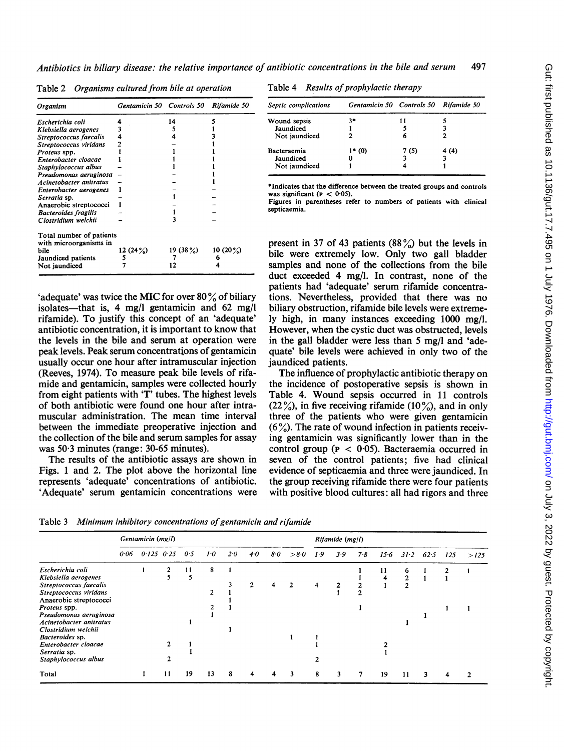|  | Table 2 Organisms cultured from bile at operation |  |
|--|---------------------------------------------------|--|
|--|---------------------------------------------------|--|

| Organism                                           | Gentamicin 50 Controls 50 |         | Rifamide 50 |
|----------------------------------------------------|---------------------------|---------|-------------|
| Escherichia coli                                   |                           | 14      |             |
| Klebsiella aerogenes                               |                           |         |             |
| Streptococcus faecalis                             |                           |         |             |
| Streptococcus viridans                             |                           |         |             |
| Proteus spp.                                       |                           |         |             |
| Enterobacter cloacae                               |                           |         |             |
| Staphylococcus albus                               |                           |         |             |
| Pseudomonas aeruginosa                             |                           |         |             |
| Acinetobacter anitratus                            |                           |         |             |
| Enterobacter aerogenes                             |                           |         |             |
| Serratia sp.                                       |                           |         |             |
| Anaerobic streptococci                             |                           |         |             |
| <b>Bacteroides</b> fragilis                        |                           |         |             |
| Clostridium welchii                                |                           |         |             |
| Total number of patients<br>with microorganisms in |                           |         |             |
| bile                                               | 12 $(24%)$                | 19(38%) | 10 $(20\%)$ |
| Jaundiced patients                                 | 5                         |         | 6           |
| Not jaundiced                                      |                           |         |             |

'adequate' was twice the MIC for over 80 $\%$  of biliary isolates—that is, 4 mg/l gentamicin and  $62 \text{ mg/l}$ rifamide). To justify this concept of an 'adequate' antibiotic concentration, it is important to know that the levels in the bile and serum at operation were peak levels. Peak se

(Reeves, 1974). To measure peak bile levels of rifamide and gentamicin, samples were collected hourly from eight patients with 'T' tubes. The highest levels of both antibiotic were found one hour after intramuscular administration. The mean time interval between the immediate preoperative injection and the collection of the bile and serum samples for assay

The results of the antibiotic assays are shown in Figs. 1 and 2. The plot above the horizontal line represents 'adequate' concentrations of antibiotic. 'Adequate' serum gentamicin concentrations were

was  $50.3$  minutes (range:  $30-65$  minutes).

|  | Table 4 Results of prophylactic therapy |  |  |  |
|--|-----------------------------------------|--|--|--|
|  |                                         |  |  |  |

| Septic complications | Gentamicin 50 Controls 50 Rifamide 50 |      |      |  |  |
|----------------------|---------------------------------------|------|------|--|--|
| <b>Wound sepsis</b>  | 34                                    |      |      |  |  |
| Jaundiced            |                                       |      |      |  |  |
| Not jaundiced        |                                       | 6    |      |  |  |
| Bacteraemia          | $1* (0)$                              | 7(5) | 4(4) |  |  |
| Jaundiced            |                                       |      |      |  |  |
| Not jaundiced        |                                       |      |      |  |  |

\*Indicates that the difference between the treated groups and controls was significant ( $P < 0.05$ ).

Figures in parentheses refer to numbers of patients with clinical septicaemia.

usually occur one hour after intramuscular injection jaundiced patients. present in 37 of 43 patients  $(88\%)$  but the levels in bile were extremely low. Only two gall bladder samples and none of the collections from the bile duct exceeded 4 mg/l. In contrast, none of the patients had 'adequate' serum rifamide concentra tions. Nevertheless, provided that there was no biliary obstruction, rifamide bile levels were extremely high, in many instances exceeding 1000 mg/l. However, when the cystic duct was obstructed, levels in the gall bladder were less than 5 mg/l and 'adequate' bile levels were achieved in only two of the

> The influence of prophylactic antibiotic therapy on the incidence of postoperative sepsis is shown in Table 4. Wound sepsis occurred in 11 controls  $(22\%)$ , in five receiving rifamide (10%), and in only three of the patients who were given gentamicin  $(6\%)$ . The rate of wound infection in patients receiving gentamicin was significantly lower than in the control group ( $p < 0.05$ ). Bacteraemia occurred in seven of the control patients; five had clinical evidence of septicaemia and three were jaundiced. In the group receiving rifamide there were four patients. with positive blood cultures: all had rigors and three

Table 3 Minimum inhibitory concentrations of gentamicin and rifamide

|                                                                                                        |      | Gentamicin $(mg/l)$ |    |         |         |     |     |     |      |     | $Rifamide$ (mg/l) |     |        |        |      |     |      |  |  |
|--------------------------------------------------------------------------------------------------------|------|---------------------|----|---------|---------|-----|-----|-----|------|-----|-------------------|-----|--------|--------|------|-----|------|--|--|
|                                                                                                        | 0.06 | $0.125$ $0.25$      |    | 0.5     | $1 - 0$ | 2.0 | 4.0 | 8·O | >8.0 | 1.9 | 3.9               | 7.8 | $15-6$ | 31.2   | 62.5 | 125 | >125 |  |  |
| Escherichia coli<br>Klebsiella aerogenes<br>Streptococcus faecalis<br>Streptococcus viridans           |      |                     |    | 11<br>5 | 8<br>◠  |     |     |     |      | 4   | 2                 |     | 11     | 6<br>2 |      |     |      |  |  |
| Anaerobic streptococci<br>Proteus spp.<br>Pseudomonas aeruginosa<br>Acinetobacter anitratus            |      |                     |    |         |         |     |     |     |      |     |                   |     |        |        |      |     |      |  |  |
| Clostridium welchii<br>Bacteroides sp.<br>Enterobacter cloacae<br>Serratia sp.<br>Staphylococcus albus |      |                     |    |         |         |     |     |     |      |     |                   |     |        |        |      |     |      |  |  |
| Total                                                                                                  |      |                     | 11 | 19      | 13      | 8   |     | 4   | 3    | 8   | 3                 |     | 19     | 11     |      |     |      |  |  |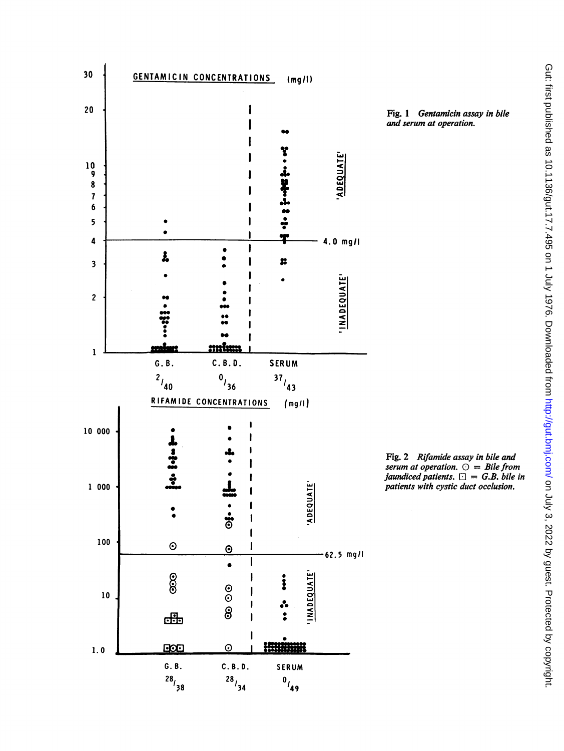

Fig. 1 Gentamicin assay in bile and serum at operation.

Fig. 2 Rifamide assay in bile and serum at operation.  $\bigcirc$  = Bile from jaundiced patients.  $\square = G.B.$  bile in patients with cystic duct occlusion.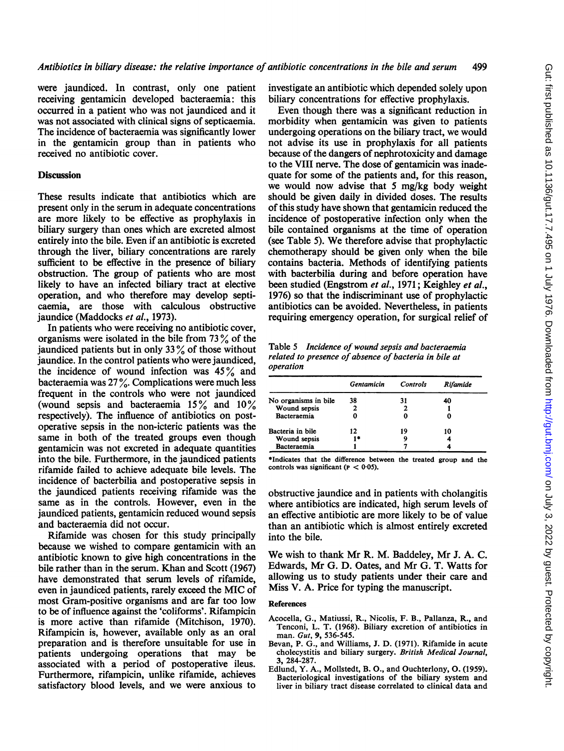were jaundiced. In contrast, only one patient receiving gentamicin developed bacteraemia: this occurred in a patient who was not jaundiced and it was not associated with clinical signs of septicaemia. The incidence of bacteraemia was significantly lower in the gentamicin group than in patients who received no antibiotic cover.

#### **Discussion**

These results indicate that antibiotics which are present only in the serum in adequate concentrations are more likely to be effective as prophylaxis in biliary surgery than ones which are excreted almost entirely into the bile. Even if an antibiotic is excreted through the liver, biliary concentrations are rarely sufficient to be effective in the presence of biliary obstruction. The group of patients who are most likely to have an infected biliary tract at elective operation, and who therefore may develop septicaemia, are those with calculous obstructive jaundice (Maddocks et al., 1973).

In patients who were receiving no antibiotic cover, organisms were isolated in the bile from  $73\%$  of the jaundiced patients but in only 33 $\%$  of those without jaundice. In the control patients who were jaundiced, the incidence of wound infection was  $45\%$  and bacteraemia was  $27\%$ . Complications were much less frequent in the controls who were not jaundiced (wound sepsis and bacteraemia  $15\%$  and  $10\%$ respectively). The influence of antibiotics on postoperative sepsis in the non-icteric patients was the same in both of the treated groups even though gentamicin was not excreted in adequate quantities into the bile. Furthermore, in the jaundiced patients rifamide failed to achieve adequate bile levels. The incidence of bacterbilia and postoperative sepsis in the jaundiced patients receiving rifamide was the same as in the controls. However, even in the jaundiced patients, gentamicin reduced wound sepsis and bacteraemia did not occur.

Rifamide was chosen for this study principally because we wished to compare gentamicin with an antibiotic known to give high concentrations in the bile rather than in the serum. Khan and Scott (1967) have demonstrated that serum levels of rifamide, even in jaundiced patients, rarely exceed the MIC of most Gram-positive organisms and are far too low to be of influence against the 'coliforms'. Rifampicin is more active than rifamide (Mitchison, 1970). Rifampicin is, however, available only as an oral preparation and is therefore unsuitable for use in patients undergoing operations that may be associated with a period of postoperative ileus. Furthermore, rifampicin, unlike rifamide, achieves satisfactory blood levels, and we were anxious to investigate an antibiotic which depended solely upon biliary concentrations for effective prophylaxis.

Even though there was a significant reduction in morbidity when gentamicin was given to patients undergoing operations on the biliary tract, we would not advise its use in prophylaxis for all patients because of the dangers of nephrotoxicity and damage to the VIII nerve. The dose of gentamicin was inadequate for some of the patients and, for this reason, we would now advise that 5 mg/kg body weight should be given daily in divided doses. The results of this study have shown that gentamicin reduced the incidence of postoperative infection only when the bile contained organisms at the time of operation (see Table 5). We therefore advise that prophylactic chemotherapy should be given only when the bile contains bacteria. Methods of identifying patients with bacterbilia during and before operation have been studied (Engstrom et al., 1971; Keighley et al., 1976) so that the indiscriminant use of prophylactic antibiotics can be avoided. Nevertheless, in patients requiring emergency operation, for surgical relief of

Table 5 Incidence of wound sepsis and bacteraemia related to presence of absence of bacteria in bile at operation

|                      | Gentamicin | <b>Controls</b> | Rifamide |  |  |
|----------------------|------------|-----------------|----------|--|--|
| No organisms in bile | 38         | 31              | 40       |  |  |
| Wound sepsis         | 2          |                 |          |  |  |
| Bacteraemia          |            |                 |          |  |  |
| Bacteria in bile     | 12         | 19              | 10       |  |  |
| Wound sepsis         |            |                 |          |  |  |
| Bacteraemia          |            |                 |          |  |  |

\*Indicates that the difference between the treated group and the controls was significant ( $p < 0.05$ ).

obstructive jaundice and in patients with cholangitis where antibiotics are indicated, high serum levels of an effective antibiotic are more likely to be of value than an antibiotic which is almost entirely excreted into the bile.

We wish to thank Mr R. M. Baddeley, Mr J. A. C. Edwards, Mr G. D. Oates, and Mr G. T. Watts for allowing us to study patients under their care and Miss V. A. Price for typing the manuscript.

## References

- Acocella, G., Matiussi, R., Nicolis, F. B., Pallanza, R., and Tenconi, L. T. (1968). Biliary excretion of antibiotics in man. Gut, 9, 536-545.
- Bevan, P. G., and Williams, J. D. (1971). Rifamide in acute cholecystitis and biliary surgery. British Medical Journal, 3, 284-287.
- Edlund, Y. A., Mollstedt, B. O., and Ouchterlony, 0. (1959). Bacteriological investigations of the biliary system and liver in biliary tract disease correlated to clinical data and